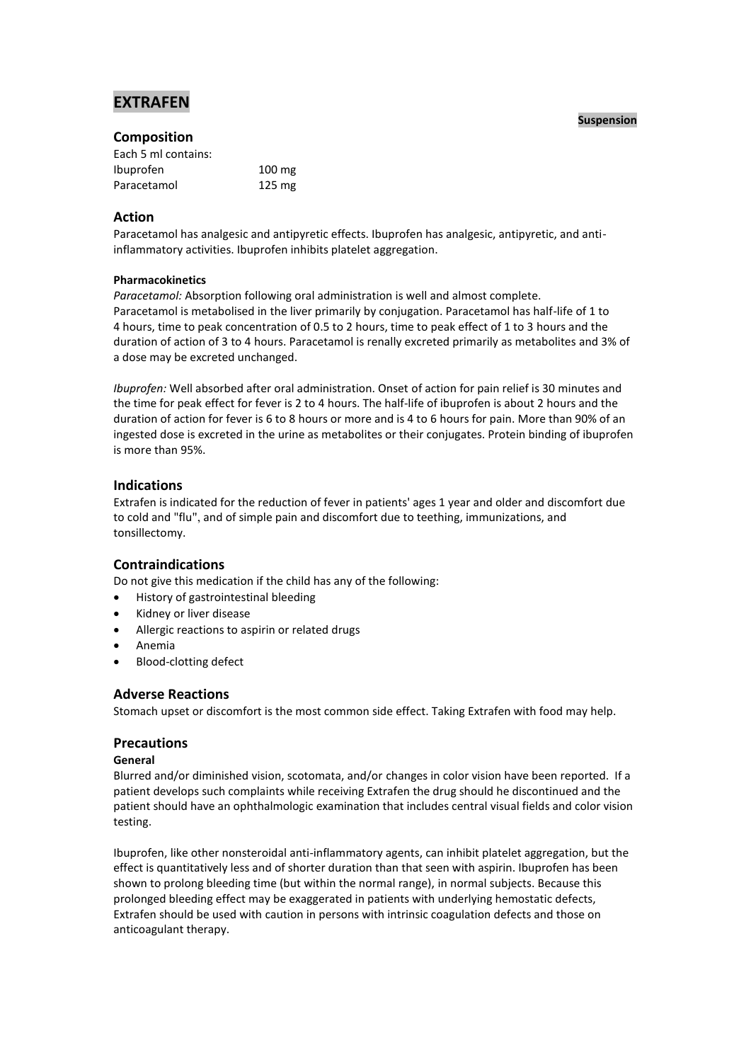# **EXTRAFEN**

# **Composition**

| Each 5 ml contains: |                  |
|---------------------|------------------|
| Ibuprofen           | $100 \text{ mg}$ |
| Paracetamol         | $125 \text{ mg}$ |

### **Action**

Paracetamol has analgesic and antipyretic effects. Ibuprofen has analgesic, antipyretic, and antiinflammatory activities. Ibuprofen inhibits platelet aggregation.

### **Pharmacokinetics**

*Paracetamol:* Absorption following oral administration is well and almost complete. Paracetamol is metabolised in the liver primarily by conjugation. Paracetamol has half-life of 1 to 4 hours, time to peak concentration of 0.5 to 2 hours, time to peak effect of 1 to 3 hours and the duration of action of 3 to 4 hours. Paracetamol is renally excreted primarily as metabolites and 3% of a dose may be excreted unchanged.

*Ibuprofen:* Well absorbed after oral administration. Onset of action for pain relief is 30 minutes and the time for peak effect for fever is 2 to 4 hours. The half-life of ibuprofen is about 2 hours and the duration of action for fever is 6 to 8 hours or more and is 4 to 6 hours for pain. More than 90% of an ingested dose is excreted in the urine as metabolites or their conjugates. Protein binding of ibuprofen is more than 95%.

# **Indications**

Extrafen is indicated for the reduction of fever in patients' ages 1 year and older and discomfort due to cold and "flu", and of simple pain and discomfort due to teething, immunizations, and tonsillectomy.

# **Contraindications**

Do not give this medication if the child has any of the following:

- History of gastrointestinal bleeding
- Kidney or liver disease
- Allergic reactions to aspirin or related drugs
- Anemia
- Blood-clotting defect

# **Adverse Reactions**

Stomach upset or discomfort is the most common side effect. Taking Extrafen with food may help.

# **Precautions**

### **General**

Blurred and/or diminished vision, scotomata, and/or changes in color vision have been reported. If a patient develops such complaints while receiving Extrafen the drug should he discontinued and the patient should have an ophthalmologic examination that includes central visual fields and color vision testing.

Ibuprofen, like other nonsteroidal anti-inflammatory agents, can inhibit platelet aggregation, but the effect is quantitatively less and of shorter duration than that seen with aspirin. Ibuprofen has been shown to prolong bleeding time (but within the normal range), in normal subjects. Because this prolonged bleeding effect may be exaggerated in patients with underlying hemostatic defects, Extrafen should be used with caution in persons with intrinsic coagulation defects and those on anticoagulant therapy.

#### **Suspension**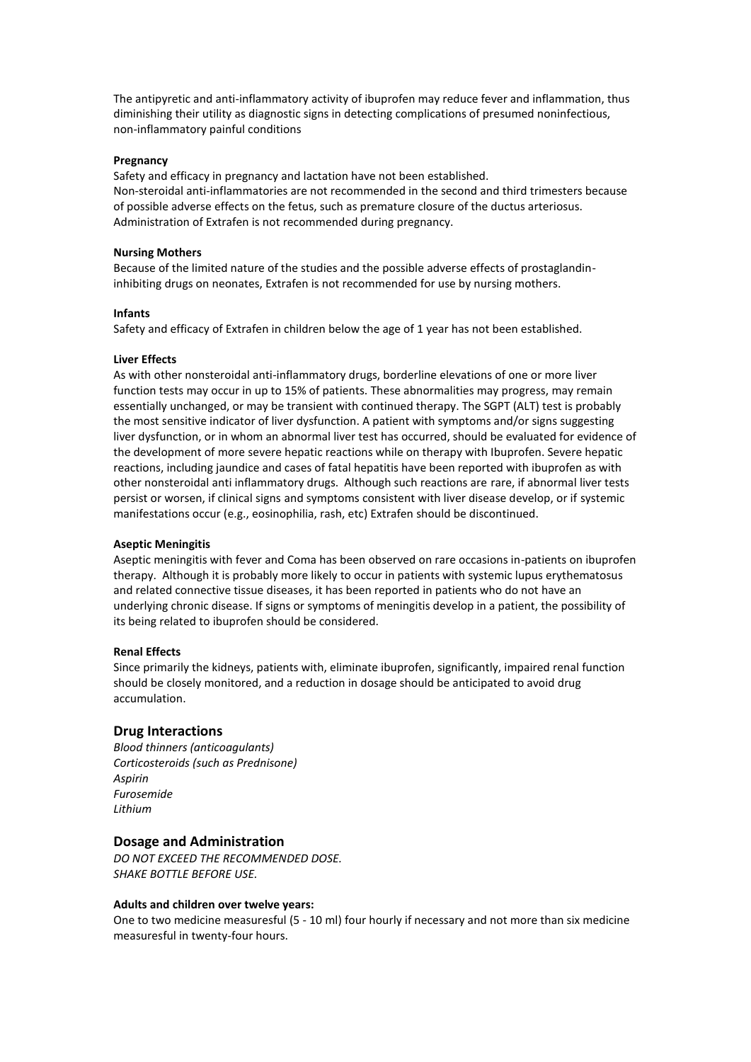The antipyretic and anti-inflammatory activity of ibuprofen may reduce fever and inflammation, thus diminishing their utility as diagnostic signs in detecting complications of presumed noninfectious, non-inflammatory painful conditions

#### **Pregnancy**

Safety and efficacy in pregnancy and lactation have not been established. Non-steroidal anti-inflammatories are not recommended in the second and third trimesters because of possible adverse effects on the fetus, such as premature closure of the ductus arteriosus. Administration of Extrafen is not recommended during pregnancy.

#### **Nursing Mothers**

Because of the limited nature of the studies and the possible adverse effects of prostaglandininhibiting drugs on neonates, Extrafen is not recommended for use by nursing mothers.

#### **Infants**

Safety and efficacy of Extrafen in children below the age of 1 year has not been established.

#### **Liver Effects**

As with other nonsteroidal anti-inflammatory drugs, borderline elevations of one or more liver function tests may occur in up to 15% of patients. These abnormalities may progress, may remain essentially unchanged, or may be transient with continued therapy. The SGPT (ALT) test is probably the most sensitive indicator of liver dysfunction. A patient with symptoms and/or signs suggesting liver dysfunction, or in whom an abnormal liver test has occurred, should be evaluated for evidence of the development of more severe hepatic reactions while on therapy with Ibuprofen. Severe hepatic reactions, including jaundice and cases of fatal hepatitis have been reported with ibuprofen as with other nonsteroidal anti inflammatory drugs. Although such reactions are rare, if abnormal liver tests persist or worsen, if clinical signs and symptoms consistent with liver disease develop, or if systemic manifestations occur (e.g., eosinophilia, rash, etc) Extrafen should be discontinued.

### **Aseptic Meningitis**

Aseptic meningitis with fever and Coma has been observed on rare occasions in-patients on ibuprofen therapy. Although it is probably more likely to occur in patients with systemic lupus erythematosus and related connective tissue diseases, it has been reported in patients who do not have an underlying chronic disease. If signs or symptoms of meningitis develop in a patient, the possibility of its being related to ibuprofen should be considered.

#### **Renal Effects**

Since primarily the kidneys, patients with, eliminate ibuprofen, significantly, impaired renal function should be closely monitored, and a reduction in dosage should be anticipated to avoid drug accumulation.

### **Drug Interactions**

*Blood thinners (anticoagulants) Corticosteroids (such as Prednisone) Aspirin Furosemide Lithium*

### **Dosage and Administration**

*DO NOT EXCEED THE RECOMMENDED DOSE. SHAKE BOTTLE BEFORE USE.* 

#### **Adults and children over twelve years:**

One to two medicine measuresful (5 - 10 ml) four hourly if necessary and not more than six medicine measuresful in twenty-four hours.